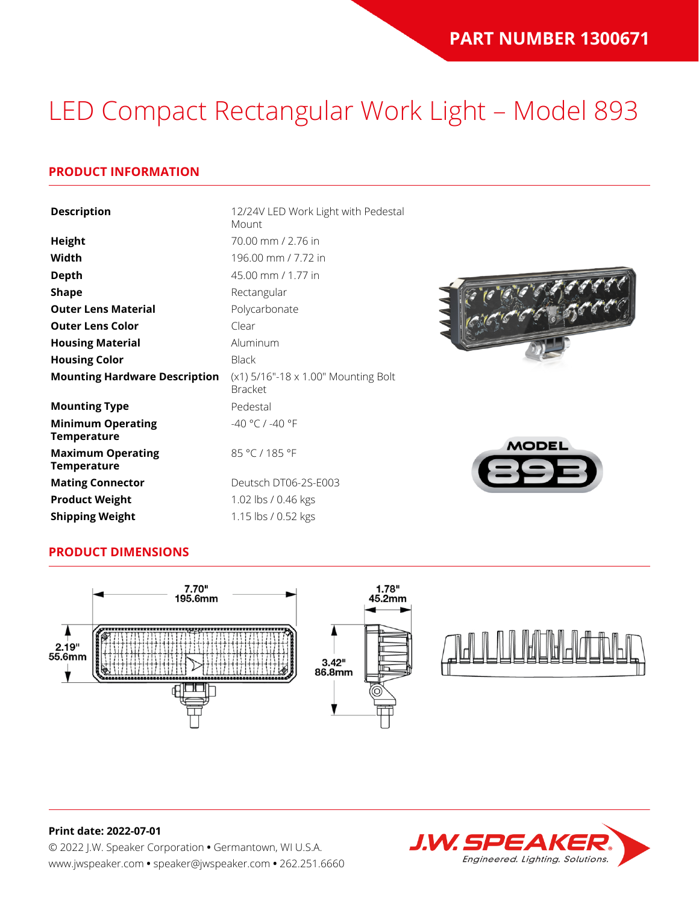## LED Compact Rectangular Work Light – Model 893

## **PRODUCT INFORMATION**

| <b>Description</b>                             | 12/24V LED Work Light with Pedestal<br>Mount          |             |
|------------------------------------------------|-------------------------------------------------------|-------------|
| <b>Height</b>                                  | 70.00 mm / 2.76 in                                    |             |
| Width                                          | 196.00 mm / 7.72 in                                   |             |
| <b>Depth</b>                                   | 45.00 mm / 1.77 in                                    |             |
| <b>Shape</b>                                   | Rectangular                                           |             |
| <b>Outer Lens Material</b>                     | Polycarbonate                                         |             |
| <b>Outer Lens Color</b>                        | Clear                                                 |             |
| <b>Housing Material</b>                        | Aluminum                                              |             |
| <b>Housing Color</b>                           | <b>Black</b>                                          |             |
| <b>Mounting Hardware Description</b>           | (x1) 5/16"-18 x 1.00" Mounting Bolt<br><b>Bracket</b> |             |
| <b>Mounting Type</b>                           | Pedestal                                              |             |
| <b>Minimum Operating</b><br><b>Temperature</b> | -40 °C / -40 °F                                       |             |
| <b>Maximum Operating</b><br><b>Temperature</b> | 85 °C / 185 °F                                        | <b>MODE</b> |
| <b>Mating Connector</b>                        | Deutsch DT06-2S-E003                                  |             |
| <b>Product Weight</b>                          | 1.02 lbs / 0.46 kgs                                   |             |
| <b>Shipping Weight</b>                         | 1.15 lbs / 0.52 kgs                                   |             |



## **PRODUCT DIMENSIONS**



#### **Print date: 2022-07-01**

© 2022 J.W. Speaker Corporation **•** Germantown, WI U.S.A. www.jwspeaker.com **•** speaker@jwspeaker.com **•** 262.251.6660

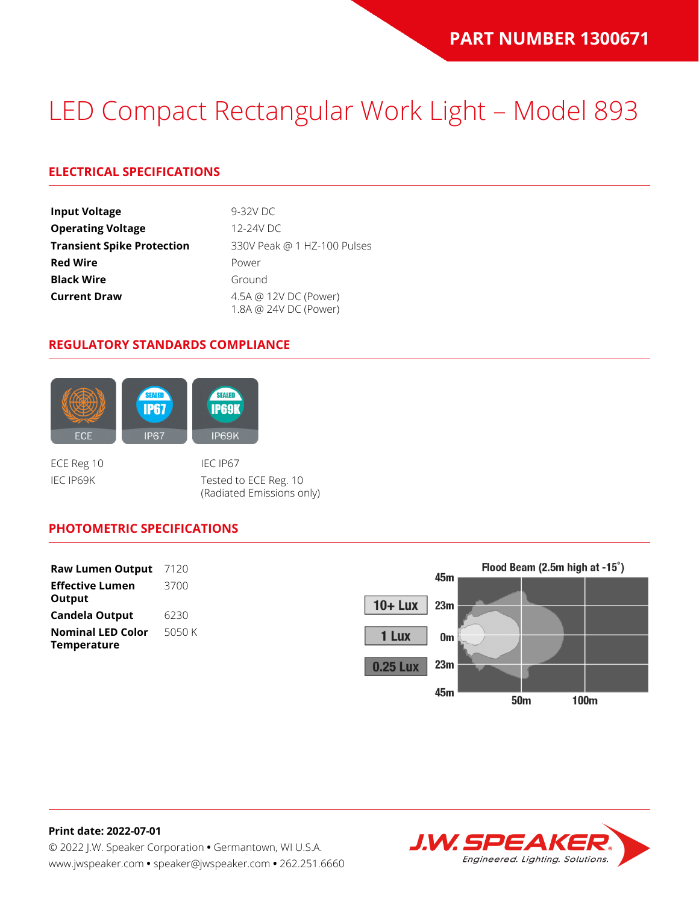## LED Compact Rectangular Work Light – Model 893

## **ELECTRICAL SPECIFICATIONS**

| <b>Input Voltage</b>              | $9-32V$ DC                                     |
|-----------------------------------|------------------------------------------------|
| <b>Operating Voltage</b>          | 12-24V DC                                      |
| <b>Transient Spike Protection</b> | 330V Peak @ 1 HZ-100 Pulses                    |
| <b>Red Wire</b>                   | Power                                          |
| <b>Black Wire</b>                 | Ground                                         |
| <b>Current Draw</b>               | 4.5A @ 12V DC (Power)<br>1.8A @ 24V DC (Power) |

#### **REGULATORY STANDARDS COMPLIANCE**



IEC IP69K Tested to ECE Reg. 10 (Radiated Emissions only)

## **PHOTOMETRIC SPECIFICATIONS**